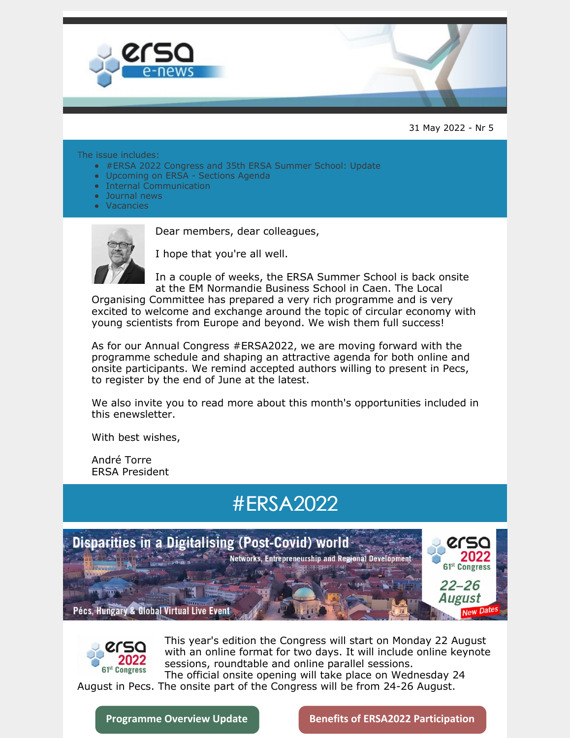

31 May 2022 - Nr 5

#### The issue includes:

- #ERSA 2022 Congress and 35th ERSA Summer School: Update
- Upcoming on ERSA Sections Agenda
- Internal Communication
- Journal news
- Vacancies



Dear members, dear colleagues,

I hope that you're all well.

In a couple of weeks, the ERSA Summer School is back onsite at the EM Normandie Business School in Caen. The Local

Organising Committee has prepared a very rich programme and is very excited to welcome and exchange around the topic of circular economy with young scientists from Europe and beyond. We wish them full success!

As for our Annual Congress #ERSA2022, we are moving forward with the programme schedule and shaping an attractive agenda for both online and onsite participants. We remind accepted authors willing to present in Pecs, to register by the end of June at the latest.

We also invite you to read more about this month's opportunities included in this enewsletter.

With best wishes,

André Torre ERSA President

## #ERSA2022





This year's edition the Congress will start on Monday 22 August with an online format for two days. It will include online keynote sessions, roundtable and online parallel sessions.

The official onsite opening will take place on Wednesday 24 August in Pecs. The onsite part of the Congress will be from 24-26 August.

**[Programme](https://ersa.eventsair.com/ersa2022/programme-overview) Overview Update Benefits of ERSA2022 [Participation](https://ersa.eventsair.com/ersa2022/benefits-of-registration)**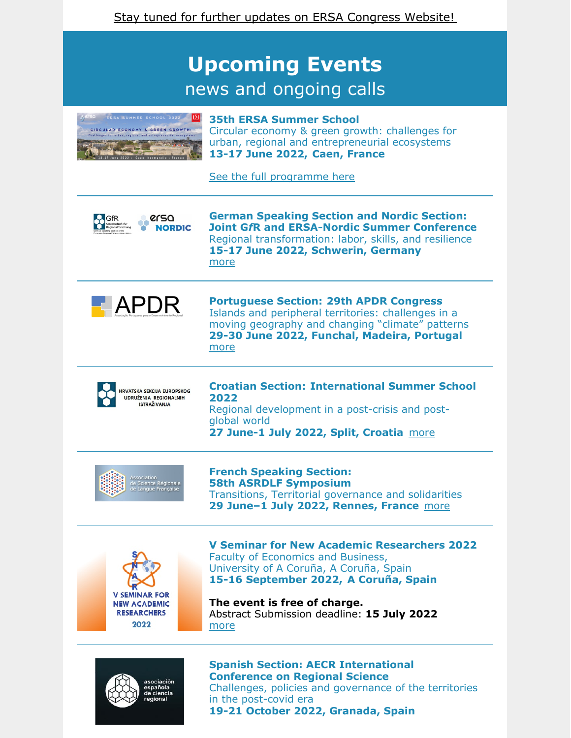## **Upcoming Events** news and ongoing calls



**35th ERSA Summer School** Circular economy & green growth: challenges for urban, regional and entrepreneurial ecosystems **13-17 June 2022, Caen, France**

See the full [programme](https://ersa.eventsair.com/2022-ersa-summer-school/#programme) here



**German Speaking Section and Nordic Section: Joint G***f***R and ERSA-Nordic Summer Conference** Regional transformation: labor, skills, and resilience **15-17 June 2022, Schwerin, Germany** [more](https://ersa.org/events/german-speaking-and-the-nordic-section-joint-summer-conference-2022/)



**Portuguese Section: 29th APDR Congress** Islands and peripheral territories: challenges in a moving geography and changing "climate" patterns **29-30 June 2022, Funchal, Madeira, Portugal** [more](https://ersa.org/events/29th-apdr-congress/)



**Croatian Section: International Summer School 2022**

Regional development in a post-crisis and postglobal world **27 June-1 July 2022, Split, Croatia** [more](https://ersa.org/events/croatian-section-international-summer-school-2022/)



**French Speaking Section: 58th ASRDLF Symposium** Transitions, Territorial governance and solidarities **29 June–1 July 2022, Rennes, France** [more](https://ersa.org/events/french-speaking-section-58th-asrdlf-colloquium/)



**V Seminar for New Academic Researchers 2022** Faculty of Economics and Business, University of A Coruña, A Coruña, Spain **15-16 September 2022, A Coruña, Spain**

**The event is free of charge.** Abstract Submission deadline: **15 July 2022** [more](https://ersa.org/events/v-seminar-for-new-academic-researchers-2022-snar/)



**Spanish Section: AECR International Conference on Regional Science** Challenges, policies and governance of the territories in the post-covid era **19-21 October 2022, Granada, Spain**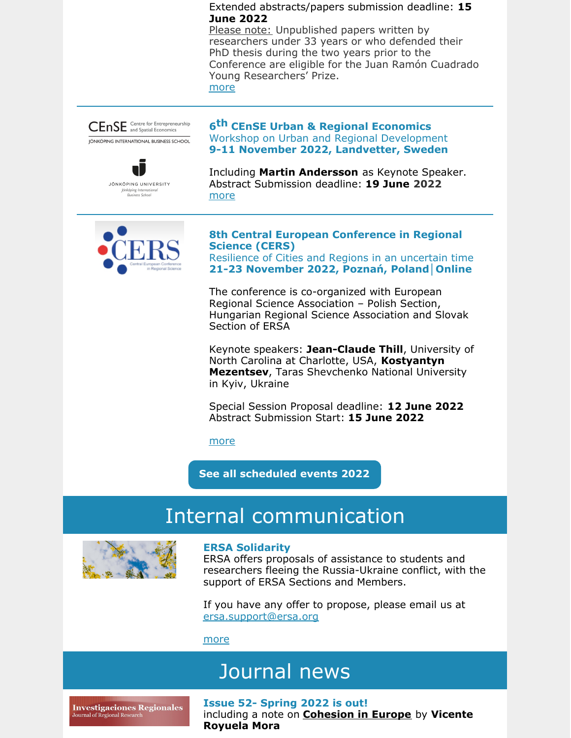#### Extended abstracts/papers submission deadline: **15 June 2022**

Please note: Unpublished papers written by researchers under 33 years or who defended their PhD thesis during the two years prior to the Conference are eligible for the Juan Ramón Cuadrado Young Researchers' Prize. [more](https://ersa.org/events/spanish-section-xlvii-international-conference-on-regional-science/)





**6 th CEnSE Urban & Regional Economics** Workshop on Urban and Regional [Development](https://em-ui.constantcontact.com/em-ui/em/page/em-ui/email#) **9-11 November 2022, Landvetter, Sweden**

Including **Martin Andersson** as Keynote Speaker. Abstract Submission deadline: **19 June 2022** [more](https://ersa.org/events/6th-cense-urban-and-regional-economics-workshop/)



#### **8th Central European Conference in Regional Science (CERS)**

Resilience of Cities and Regions in an uncertain time **21-23 November 2022, Poznań, Poland│Online**

The conference is co-organized with European Regional Science Association – Polish Section, Hungarian Regional Science Association and Slovak Section of ERSA

Keynote speakers: **Jean-Claude Thill**, University of North Carolina at Charlotte, USA, **Kostyantyn Mezentsev**, Taras Shevchenko National University in Kyiv, Ukraine

Special Session Proposal deadline: **12 June 2022** Abstract Submission Start: **15 June 2022**

[more](https://ersa.org/events/polish-slovak-hungarian-sections-8th-central-european-conference-in-regional-science-cers/)

**See all [scheduled](https://ersa.org/upcoming-events/) events 2022**

### Internal communication



#### **ERSA Solidarity**

ERSA offers proposals of assistance to students and researchers fleeing the Russia-Ukraine conflict, with the support of ERSA Sections and Members.

If you have any offer to propose, please email us at [ersa.support@ersa.org](mailto:ersa.support@ersa.org)

[more](https://ersa.org/ersa-solidarity/)

## Journal news

**Investigaciones Regionales** Journal of Regional Research

**Issue 52- Spring 2022 is out!** including a note on **Cohesion in Europe** by **Vicente Royuela Mora**